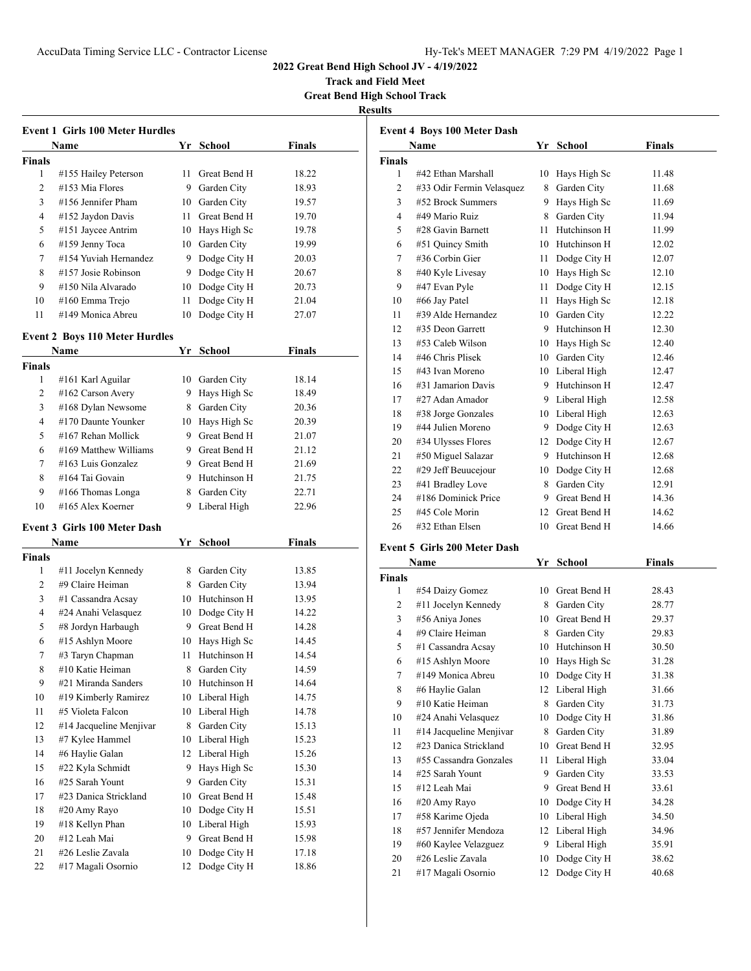**Track and Field Meet Great Bend High School Track**

**Results**

| <b>Event 1 Girls 100 Meter Hurdles</b> |                                       |     |                 |               |  |
|----------------------------------------|---------------------------------------|-----|-----------------|---------------|--|
|                                        | Name                                  |     | Yr School       | Finals        |  |
| <b>Finals</b>                          |                                       |     |                 |               |  |
| 1                                      | #155 Hailey Peterson                  | 11. | Great Bend H    | 18.22         |  |
| 2                                      | #153 Mia Flores                       |     | 9 Garden City   | 18.93         |  |
| 3                                      | #156 Jennifer Pham                    |     | 10 Garden City  | 19.57         |  |
| 4                                      | #152 Jaydon Davis                     |     | 11 Great Bend H | 19.70         |  |
| 5                                      | #151 Jaycee Antrim                    |     | 10 Hays High Sc | 19.78         |  |
| 6                                      | #159 Jenny Toca                       |     | 10 Garden City  | 19.99         |  |
| 7                                      | #154 Yuviah Hernandez                 |     | 9 Dodge City H  | 20.03         |  |
| 8                                      | #157 Josie Robinson                   |     | 9 Dodge City H  | 20.67         |  |
| 9                                      | #150 Nila Alvarado                    |     | 10 Dodge City H | 20.73         |  |
| 10                                     | #160 Emma Trejo                       | 11  | Dodge City H    | 21.04         |  |
| 11                                     | #149 Monica Abreu                     | 10  | Dodge City H    | 27.07         |  |
|                                        |                                       |     |                 |               |  |
|                                        | <b>Event 2 Boys 110 Meter Hurdles</b> |     |                 |               |  |
|                                        | Name                                  | Yr  | <b>School</b>   | Finals        |  |
| <b>Finals</b>                          |                                       |     |                 |               |  |
| 1                                      | #161 Karl Aguilar                     |     | 10 Garden City  | 18.14         |  |
| 2                                      | #162 Carson Avery                     |     | 9 Hays High Sc  | 18.49         |  |
| 3                                      | #168 Dylan Newsome                    |     | 8 Garden City   | 20.36         |  |
| 4                                      | #170 Daunte Younker                   |     | 10 Hays High Sc | 20.39         |  |
| 5                                      | #167 Rehan Mollick                    |     | 9 Great Bend H  | 21.07         |  |
| 6                                      | #169 Matthew Williams                 |     | 9 Great Bend H  | 21.12         |  |
| 7                                      | #163 Luis Gonzalez                    |     | 9 Great Bend H  | 21.69         |  |
| 8                                      | #164 Tai Govain                       |     | 9 Hutchinson H  | 21.75         |  |
| 9                                      | #166 Thomas Longa                     |     | 8 Garden City   | 22.71         |  |
| 10                                     | #165 Alex Koerner                     | 9   | Liberal High    | 22.96         |  |
|                                        | <b>Event 3 Girls 100 Meter Dash</b>   |     |                 |               |  |
|                                        | Name                                  | Yr  | <b>School</b>   | <b>Finals</b> |  |
| <b>Finals</b>                          |                                       |     |                 |               |  |
| 1                                      | #11 Jocelyn Kennedy                   |     | 8 Garden City   | 13.85         |  |
| 2                                      | #9 Claire Heiman                      |     | 8 Garden City   | 13.94         |  |
| 3                                      | #1 Cassandra Acsay                    |     | 10 Hutchinson H | 13.95         |  |
| 4                                      | #24 Anahi Velasquez                   |     | 10 Dodge City H | 14.22         |  |
| 5                                      | #8 Jordyn Harbaugh                    |     | 9 Great Bend H  | 14.28         |  |
| 6                                      | #15 Ashlyn Moore                      |     | 10 Hays High Sc | 14.45         |  |
| 7                                      | #3 Taryn Chapman                      | 11  | Hutchinson H    | 14.54         |  |
| 8                                      | #10 Katie Heiman                      | 8   | Garden City     | 14.59         |  |
| 9                                      | #21 Miranda Sanders                   | 10  | Hutchinson H    | 14.64         |  |
| 10                                     | #19 Kimberly Ramirez                  |     | 10 Liberal High | 14.75         |  |
| 11                                     | #5 Violeta Falcon                     |     | 10 Liberal High | 14.78         |  |
| 12                                     | #14 Jacqueline Menjivar               | 8   | Garden City     | 15.13         |  |
| 13                                     | #7 Kylee Hammel                       |     | 10 Liberal High | 15.23         |  |
| 14                                     | #6 Haylie Galan                       |     | 12 Liberal High | 15.26         |  |
| 15                                     | #22 Kyla Schmidt                      | 9.  | Hays High Sc    | 15.30         |  |
| 16                                     | #25 Sarah Yount                       | 9.  | Garden City     | 15.31         |  |
| 17                                     | #23 Danica Strickland                 |     | 10 Great Bend H | 15.48         |  |
| 18                                     | #20 Amy Rayo                          |     | 10 Dodge City H | 15.51         |  |
| 19                                     | #18 Kellyn Phan                       |     | 10 Liberal High | 15.93         |  |
| 20                                     | #12 Leah Mai                          | 9.  | Great Bend H    | 15.98         |  |
| 21                                     | #26 Leslie Zavala                     | 10  | Dodge City H    | 17.18         |  |
| 22                                     | #17 Magali Osornio                    | 12  | Dodge City H    | 18.86         |  |

| Name           |                           |      | Yr School       | <b>Finals</b> |
|----------------|---------------------------|------|-----------------|---------------|
| <b>Finals</b>  |                           |      |                 |               |
| 1              | #42 Ethan Marshall        |      | 10 Hays High Sc | 11.48         |
| 2              | #33 Odir Fermin Velasquez | 8    | Garden City     | 11.68         |
| 3              | #52 Brock Summers         | 9    | Hays High Sc    | 11.69         |
| $\overline{4}$ | #49 Mario Ruiz            | 8    | Garden City     | 11.94         |
| 5              | #28 Gavin Barnett         | 11.  | Hutchinson H    | 11.99         |
| 6              | #51 Quincy Smith          |      | 10 Hutchinson H | 12.02         |
| 7              | #36 Corbin Gier           | 11 - | Dodge City H    | 12.07         |
| 8              | #40 Kyle Livesay          |      | 10 Hays High Sc | 12.10         |
| 9              | #47 Evan Pyle             | 11   | Dodge City H    | 12.15         |
| 10             | #66 Jay Patel             | 11   | Hays High Sc    | 12.18         |
| 11             | #39 Alde Hernandez        |      | 10 Garden City  | 12.22         |
| 12             | #35 Deon Garrett          | 9    | Hutchinson H    | 12.30         |
| 13             | #53 Caleb Wilson          |      | 10 Hays High Sc | 12.40         |
| 14             | #46 Chris Plisek          | 10   | Garden City     | 12.46         |
| 15             | #43 Ivan Moreno           |      | 10 Liberal High | 12.47         |
| 16             | #31 Jamarion Davis        | 9.   | Hutchinson H    | 12.47         |
| 17             | #27 Adan Amador           |      | 9 Liberal High  | 12.58         |
| 18             | #38 Jorge Gonzales        |      | 10 Liberal High | 12.63         |
| 19             | #44 Julien Moreno         |      | 9 Dodge City H  | 12.63         |
| 20             | #34 Ulysses Flores        | 12   | Dodge City H    | 12.67         |
| 21             | #50 Miguel Salazar        |      | 9 Hutchinson H  | 12.68         |
| 22             | #29 Jeff Beuucejour       |      | 10 Dodge City H | 12.68         |
| 23             | #41 Bradley Love          | 8    | Garden City     | 12.91         |
| 24             | #186 Dominick Price       |      | 9 Great Bend H  | 14.36         |
| 25             | #45 Cole Morin            | 12   | Great Bend H    | 14.62         |
| 26             | #32 Ethan Elsen           | 10   | Great Bend H    | 14.66         |

# **Event 5 Girls 200 Meter Dash**

| Name           |                         | Yr | <b>School</b> | Finals |  |
|----------------|-------------------------|----|---------------|--------|--|
| <b>Finals</b>  |                         |    |               |        |  |
| 1              | #54 Daizy Gomez         | 10 | Great Bend H  | 28.43  |  |
| $\overline{c}$ | #11 Jocelyn Kennedy     | 8  | Garden City   | 28.77  |  |
| 3              | #56 Aniya Jones         | 10 | Great Bend H  | 29.37  |  |
| 4              | #9 Claire Heiman        | 8  | Garden City   | 29.83  |  |
| 5              | #1 Cassandra Acsay      | 10 | Hutchinson H  | 30.50  |  |
| 6              | #15 Ashlyn Moore        | 10 | Hays High Sc  | 31.28  |  |
| 7              | #149 Monica Abreu       | 10 | Dodge City H  | 31.38  |  |
| 8              | #6 Haylie Galan         | 12 | Liberal High  | 31.66  |  |
| 9              | #10 Katie Heiman        | 8  | Garden City   | 31.73  |  |
| 10             | #24 Anahi Velasquez     | 10 | Dodge City H  | 31.86  |  |
| 11             | #14 Jacqueline Menjivar | 8  | Garden City   | 31.89  |  |
| 12             | #23 Danica Strickland   | 10 | Great Bend H  | 32.95  |  |
| 13             | #55 Cassandra Gonzales  | 11 | Liberal High  | 33.04  |  |
| 14             | #25 Sarah Yount         | 9  | Garden City   | 33.53  |  |
| 15             | #12 Leah Mai            | 9  | Great Bend H  | 33.61  |  |
| 16             | #20 Amy Rayo            | 10 | Dodge City H  | 34.28  |  |
| 17             | #58 Karime Ojeda        | 10 | Liberal High  | 34.50  |  |
| 18             | #57 Jennifer Mendoza    | 12 | Liberal High  | 34.96  |  |
| 19             | #60 Kaylee Velazguez    | 9  | Liberal High  | 35.91  |  |
| 20             | #26 Leslie Zavala       | 10 | Dodge City H  | 38.62  |  |
| 21             | #17 Magali Osornio      | 12 | Dodge City H  | 40.68  |  |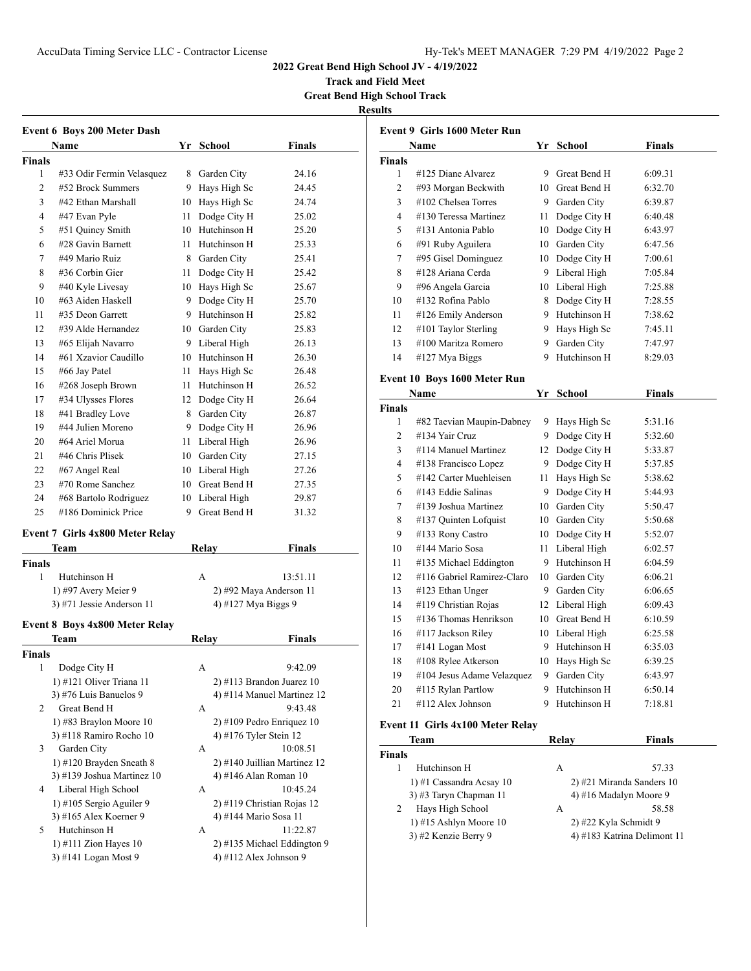**Track and Field Meet Great Bend High School Track**

**Results**

|               | <b>Event 6 Boys 200 Meter Dash</b><br>Name     | Yr School                   | <b>Finals</b>                |
|---------------|------------------------------------------------|-----------------------------|------------------------------|
|               |                                                |                             |                              |
| <b>Finals</b> |                                                |                             |                              |
| 1<br>2        | #33 Odir Fermin Velasquez<br>#52 Brock Summers | 8 Garden City               | 24.16<br>24.45               |
|               |                                                | 9 Hays High Sc              |                              |
| 3             | #42 Ethan Marshall                             | 10 Hays High Sc             | 24.74                        |
| 4             | #47 Evan Pyle                                  | 11 Dodge City H             | 25.02                        |
| 5             | #51 Quincy Smith                               | 10 Hutchinson H             | 25.20                        |
| 6             | #28 Gavin Barnett                              | 11 Hutchinson H             | 25.33                        |
| 7             | #49 Mario Ruiz                                 | 8 Garden City               | 25.41                        |
| 8             | #36 Corbin Gier                                | 11 Dodge City H             | 25.42                        |
| 9             | #40 Kyle Livesay                               | 10 Hays High Sc             | 25.67                        |
| 10            | #63 Aiden Haskell                              | 9 Dodge City H              | 25.70                        |
| 11            | #35 Deon Garrett                               | 9 Hutchinson H              | 25.82                        |
| 12            | #39 Alde Hernandez                             | 10 Garden City              | 25.83                        |
| 13            | #65 Elijah Navarro                             | 9 Liberal High              | 26.13                        |
| 14            | #61 Xzavior Caudillo                           | 10 Hutchinson H             | 26.30                        |
| 15            | #66 Jay Patel                                  | 11 Hays High Sc             | 26.48                        |
| 16            | #268 Joseph Brown                              | 11 Hutchinson H             | 26.52                        |
| 17            | #34 Ulysses Flores                             | 12 Dodge City H             | 26.64                        |
| 18            | #41 Bradley Love                               | 8 Garden City               | 26.87                        |
| 19            | #44 Julien Moreno                              | 9 Dodge City H              | 26.96                        |
| 20            | #64 Ariel Morua                                | 11 Liberal High             | 26.96                        |
| 21            | #46 Chris Plisek                               | 10 Garden City              | 27.15                        |
| 22            | #67 Angel Real                                 | 10 Liberal High             | 27.26                        |
| 23            | #70 Rome Sanchez                               | 10 Great Bend H             | 27.35                        |
| 24            | #68 Bartolo Rodriguez                          | 10 Liberal High             | 29.87                        |
| 25            | #186 Dominick Price                            | 9 Great Bend H              | 31.32                        |
|               |                                                |                             |                              |
|               | <b>Event 7 Girls 4x800 Meter Relay</b>         |                             |                              |
|               | Team                                           | <b>Relay</b>                | <b>Finals</b>                |
| <b>Finals</b> |                                                |                             |                              |
| 1             | Hutchinson H                                   | A                           | 13:51.11                     |
|               | 1) #97 Avery Meier 9                           |                             | 2) #92 Maya Anderson 11      |
|               | 3) #71 Jessie Anderson 11                      | 4) #127 Mya Biggs 9         |                              |
|               | <b>Event 8 Boys 4x800 Meter Relay</b>          |                             |                              |
|               | Team                                           | Relay                       | Finals                       |
| Finals        |                                                |                             |                              |
|               |                                                | А                           |                              |
|               |                                                |                             | 9:42.09                      |
| 1             | Dodge City H                                   |                             |                              |
|               | 1) #121 Oliver Triana 11                       | $2)$ #113 Brandon Juarez 10 |                              |
|               | 3) #76 Luis Banuelos 9                         |                             | 4) #114 Manuel Martinez 12   |
| 2             | Great Bend H                                   | А                           | 9:43.48                      |
|               | 1) #83 Braylon Moore 10                        |                             | $2)$ #109 Pedro Enriquez 10  |
|               | 3) #118 Ramiro Rocho 10                        | 4) #176 Tyler Stein 12      |                              |
| 3             | Garden City                                    | А                           | 10:08.51                     |
|               | 1) #120 Brayden Sneath 8                       |                             | 2) #140 Juillian Martinez 12 |
|               | 3) #139 Joshua Martinez 10                     | 4) #146 Alan Roman 10       |                              |
| 4             | Liberal High School                            | А                           | 10:45.24                     |
|               | 1) #105 Sergio Aguiler 9                       |                             | 2) #119 Christian Rojas 12   |
|               | 3) #165 Alex Koerner 9                         | 4) #144 Mario Sosa 11       |                              |
| 5             | Hutchinson H                                   | А                           | 11:22.87                     |
|               | 1) #111 Zion Hayes 10<br>3) #141 Logan Most 9  | 4) #112 Alex Johnson 9      | 2) #135 Michael Eddington 9  |

| Event 9 Girls 1600 Meter Run  |                                                 |      |                       |                             |  |  |
|-------------------------------|-------------------------------------------------|------|-----------------------|-----------------------------|--|--|
|                               | Name                                            |      | Yr School             | <b>Finals</b>               |  |  |
| <b>Finals</b>                 |                                                 |      |                       |                             |  |  |
| 1                             | #125 Diane Alvarez                              |      | 9 Great Bend H        | 6:09.31                     |  |  |
| 2                             | #93 Morgan Beckwith                             |      | 10 Great Bend H       | 6:32.70                     |  |  |
| 3                             | #102 Chelsea Torres                             |      | 9 Garden City         | 6:39.87                     |  |  |
| 4                             | #130 Teressa Martinez                           | 11 - | Dodge City H          | 6:40.48                     |  |  |
| 5                             | #131 Antonia Pablo                              |      | 10 Dodge City H       | 6:43.97                     |  |  |
| 6                             | #91 Ruby Aguilera                               |      | 10 Garden City        | 6:47.56                     |  |  |
| 7                             | #95 Gisel Dominguez                             |      | 10 Dodge City H       | 7:00.61                     |  |  |
| 8                             | #128 Ariana Cerda                               |      | 9 Liberal High        | 7:05.84                     |  |  |
| 9                             | #96 Angela Garcia                               |      | 10 Liberal High       | 7:25.88                     |  |  |
| 10                            | #132 Rofina Pablo                               |      | 8 Dodge City H        | 7:28.55                     |  |  |
| 11                            | #126 Emily Anderson                             |      | 9 Hutchinson H        | 7:38.62                     |  |  |
| 12                            | #101 Taylor Sterling                            |      | 9 Hays High Sc        | 7:45.11                     |  |  |
| 13                            | #100 Maritza Romero                             |      | 9 Garden City         | 7:47.97                     |  |  |
| 14                            | #127 Mya Biggs                                  |      | 9 Hutchinson H        | 8:29.03                     |  |  |
|                               |                                                 |      |                       |                             |  |  |
|                               | Event 10 Boys 1600 Meter Run                    |      |                       |                             |  |  |
|                               | Name                                            |      | Yr School             | <b>Finals</b>               |  |  |
| <b>Finals</b>                 |                                                 |      |                       |                             |  |  |
| 1                             | #82 Taevian Maupin-Dabney                       |      | 9 Hays High Sc        | 5:31.16                     |  |  |
| 2                             | #134 Yair Cruz                                  |      | 9 Dodge City H        | 5:32.60                     |  |  |
| 3                             | #114 Manuel Martinez                            |      | 12 Dodge City H       | 5:33.87                     |  |  |
| 4                             | #138 Francisco Lopez                            |      | 9 Dodge City H        | 5:37.85                     |  |  |
| 5                             | #142 Carter Muehleisen                          | 11 - | Hays High Sc          | 5:38.62                     |  |  |
| 6                             | #143 Eddie Salinas                              |      | 9 Dodge City H        | 5:44.93                     |  |  |
| 7                             | #139 Joshua Martinez                            |      | 10 Garden City        | 5:50.47                     |  |  |
| 8                             | #137 Quinten Lofquist                           |      | 10 Garden City        | 5:50.68                     |  |  |
| 9                             | #133 Rony Castro                                |      | 10 Dodge City H       | 5:52.07                     |  |  |
| 10                            | #144 Mario Sosa                                 | 11 - | Liberal High          | 6:02.57                     |  |  |
| 11                            | #135 Michael Eddington                          |      | 9 Hutchinson H        | 6:04.59                     |  |  |
| 12                            | #116 Gabriel Ramirez-Claro                      |      | 10 Garden City        | 6:06.21                     |  |  |
| 13                            | #123 Ethan Unger                                |      | 9 Garden City         | 6:06.65                     |  |  |
| 14                            | #119 Christian Rojas                            |      | 12 Liberal High       | 6:09.43                     |  |  |
| 15                            | #136 Thomas Henrikson                           |      | 10 Great Bend H       | 6:10.59                     |  |  |
| 16                            | #117 Jackson Riley                              |      | 10 Liberal High       | 6:25.58                     |  |  |
| 17                            | #141 Logan Most                                 | 9.   | Hutchinson H          | 6:35.03                     |  |  |
| 18                            | #108 Rylee Atkerson                             | 10   | Hays High Sc          | 6:39.25                     |  |  |
| 19                            | #104 Jesus Adame Velazquez                      | 9.   | Garden City           | 6:43.97                     |  |  |
| 20                            | #115 Rylan Partlow                              | 9    | Hutchinson H          | 6:50.14                     |  |  |
| 21                            | #112 Alex Johnson                               | 9.   | Hutchinson H          | 7:18.81                     |  |  |
|                               |                                                 |      |                       |                             |  |  |
|                               | Event 11 Girls 4x100 Meter Relay<br><b>Team</b> |      |                       | <b>Finals</b>               |  |  |
|                               |                                                 |      | <u>Relay</u>          |                             |  |  |
| <b>Finals</b><br>$\mathbf{1}$ | Hutchinson H                                    |      | А                     | 57.33                       |  |  |
|                               | 1) #1 Cassandra Acsay 10                        |      |                       | 2) #21 Miranda Sanders 10   |  |  |
|                               | 3) #3 Taryn Chapman 11                          |      |                       | 4) #16 Madalyn Moore 9      |  |  |
| 2                             | Hays High School                                |      | А                     | 58.58                       |  |  |
|                               | 1) #15 Ashlyn Moore 10                          |      | 2) #22 Kyla Schmidt 9 |                             |  |  |
|                               | 3) #2 Kenzie Berry 9                            |      |                       | 4) #183 Katrina Delimont 11 |  |  |
|                               |                                                 |      |                       |                             |  |  |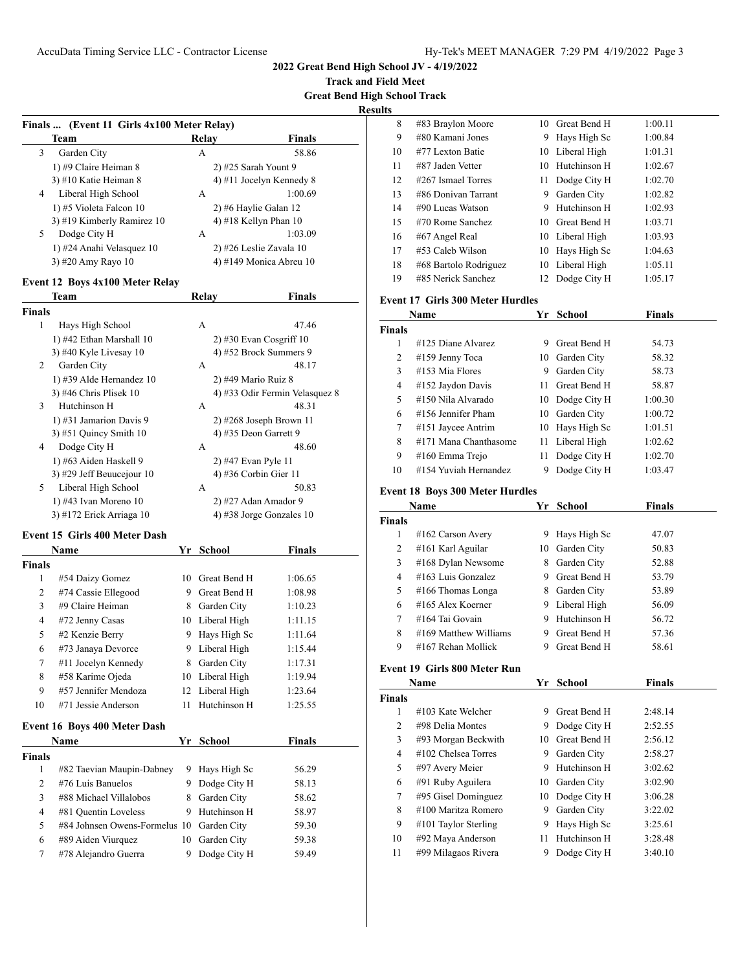**Track and Field Meet**

**Great Bend High School Track**

**Results**

|                    | Finals  (Event 11 Girls 4x100 Meter Relay) |         |                             |                                |
|--------------------|--------------------------------------------|---------|-----------------------------|--------------------------------|
|                    | Team                                       |         | Relay                       | Finals                         |
| 3                  | Garden City                                |         | А                           | 58.86                          |
|                    | 1) #9 Claire Heiman 8                      |         | 2) #25 Sarah Yount 9        |                                |
|                    | 3) #10 Katie Heiman 8                      |         |                             | 4) #11 Jocelyn Kennedy 8       |
| 4                  | Liberal High School                        |         | А                           | 1:00.69                        |
|                    | 1) #5 Violeta Falcon 10                    |         |                             | 2) #6 Haylie Galan 12          |
|                    | 3) #19 Kimberly Ramirez 10                 |         |                             | 4) #18 Kellyn Phan 10          |
| 5                  | Dodge City H                               |         | А                           | 1:03.09                        |
|                    | 1) #24 Anahi Velasquez 10                  |         |                             | 2) #26 Leslie Zavala 10        |
|                    | 3) #20 Amy Rayo 10                         |         |                             | 4) #149 Monica Abreu 10        |
|                    | <b>Event 12 Boys 4x100 Meter Relay</b>     |         |                             |                                |
|                    | Team                                       |         | Relay                       | <b>Finals</b>                  |
| Finals             |                                            |         |                             |                                |
| 1                  | Hays High School                           |         | А                           | 47.46                          |
|                    | 1) #42 Ethan Marshall 10                   |         |                             | $2)$ #30 Evan Cosgriff 10      |
|                    | 3) #40 Kyle Livesay 10                     |         |                             | 4) #52 Brock Summers 9         |
| 2                  | Garden City                                |         | А                           | 48.17                          |
|                    | 1) #39 Alde Hernandez 10                   |         | 2) #49 Mario Ruiz 8         |                                |
|                    | 3) #46 Chris Plisek 10                     |         |                             | 4) #33 Odir Fermin Velasquez 8 |
| 3                  | Hutchinson H                               |         | А                           | 48.31                          |
|                    | 1) #31 Jamarion Davis 9                    |         |                             | $2)$ #268 Joseph Brown 11      |
|                    | 3) #51 Quincy Smith $10$                   |         |                             | 4) #35 Deon Garrett 9          |
| 4                  | Dodge City H                               |         | А                           | 48.60                          |
|                    | 1) #63 Aiden Haskell 9                     |         | 2) #47 Evan Pyle 11         |                                |
|                    | 3) #29 Jeff Beuucejour 10                  |         |                             | 4) #36 Corbin Gier 11          |
| 5                  | Liberal High School                        |         | А                           | 50.83                          |
|                    | 1) #43 Ivan Moreno 10                      |         |                             | 2) #27 Adan Amador 9           |
|                    | 3) #172 Erick Arriaga 10                   |         |                             | 4) #38 Jorge Gonzales 10       |
|                    | Event 15 Girls 400 Meter Dash              |         |                             |                                |
|                    | Name                                       |         | Yr School                   | <b>Finals</b>                  |
| Finals             |                                            |         |                             |                                |
| 1                  | #54 Daizy Gomez                            |         | 10 Great Bend H             | 1:06.65                        |
| 2                  | #74 Cassie Ellegood                        |         | 9 Great Bend H              | 1:08.98                        |
| 3                  | #9 Claire Heiman                           |         | 8 Garden City               | 1:10.23                        |
| 4                  | #72 Jenny Casas                            |         | 10 Liberal High             | 1:11.15                        |
| 5                  | #2 Kenzie Berry                            |         | 9 Hays High Sc              | 1:11.64                        |
| 6                  | #73 Janaya Devorce                         |         | 9 Liberal High              | 1:15.44                        |
| $\tau$             | #11 Jocelyn Kennedy                        |         | 8 Garden City               | 1:17.31                        |
| 8                  | #58 Karime Ojeda                           |         | 10 Liberal High             | 1:19.94                        |
| 9                  | #57 Jennifer Mendoza                       | 12      | Liberal High                | 1:23.64                        |
| 10                 | #71 Jessie Anderson                        | 11      | Hutchinson H                | 1:25.55                        |
|                    |                                            |         |                             |                                |
|                    | Event 16 Boys 400 Meter Dash<br>Name       |         | Yr School                   | <b>Finals</b>                  |
|                    |                                            |         |                             |                                |
|                    |                                            | 9       | Hays High Sc                | 56.29                          |
|                    |                                            |         | Dodge City H                | 58.13                          |
| 1                  | #82 Taevian Maupin-Dabney                  |         |                             |                                |
| 2                  | #76 Luis Banuelos                          | 9.      |                             |                                |
| 3                  | #88 Michael Villalobos                     | 8       | Garden City                 | 58.62                          |
| <b>Finals</b><br>4 | #81 Quentin Loveless                       | 9       | Hutchinson H                | 58.97                          |
| 5                  | #84 Johnsen Owens-Formelus 10              |         | Garden City                 | 59.30                          |
| 6<br>7             | #89 Aiden Viurquez<br>#78 Alejandro Guerra | 10<br>9 | Garden City<br>Dodge City H | 59.38<br>59.49                 |

| 8             | #83 Braylon Moore                       |      | 10 Great Bend H | 1:00.11            |  |
|---------------|-----------------------------------------|------|-----------------|--------------------|--|
| 9             | #80 Kamani Jones                        |      | 9 Hays High Sc  | 1:00.84            |  |
| 10            | #77 Lexton Batie                        |      | 10 Liberal High | 1:01.31            |  |
| 11            | #87 Jaden Vetter                        |      | 10 Hutchinson H | 1:02.67            |  |
| 12            | #267 Ismael Torres                      |      | 11 Dodge City H | 1:02.70            |  |
| 13            | #86 Donivan Tarrant                     |      | 9 Garden City   | 1:02.82            |  |
| 14            | #90 Lucas Watson                        |      | 9 Hutchinson H  | 1:02.93            |  |
| 15            | #70 Rome Sanchez                        |      | 10 Great Bend H | 1:03.71            |  |
| 16            | #67 Angel Real                          |      | 10 Liberal High | 1:03.93            |  |
| 17            | #53 Caleb Wilson                        |      | 10 Hays High Sc | 1:04.63            |  |
| 18            | #68 Bartolo Rodriguez                   |      | 10 Liberal High | 1:05.11            |  |
| 19            | #85 Nerick Sanchez                      | 12   | Dodge City H    | 1:05.17            |  |
|               | <b>Event 17 Girls 300 Meter Hurdles</b> |      |                 |                    |  |
|               | Name                                    |      | Yr School       | <b>Finals</b>      |  |
| <b>Finals</b> |                                         |      |                 |                    |  |
| $\mathbf{1}$  | #125 Diane Alvarez                      |      | 9 Great Bend H  | 54.73              |  |
| 2             | #159 Jenny Toca                         |      | 10 Garden City  | 58.32              |  |
| 3             | #153 Mia Flores                         |      | 9 Garden City   | 58.73              |  |
| 4             | #152 Jaydon Davis                       |      | 11 Great Bend H | 58.87              |  |
| 5             | #150 Nila Alvarado                      |      | 10 Dodge City H | 1:00.30            |  |
| 6             | #156 Jennifer Pham                      |      | 10 Garden City  | 1:00.72            |  |
| 7             | #151 Jaycee Antrim                      |      | 10 Hays High Sc |                    |  |
| 8             | #171 Mana Chanthasome                   |      | 11 Liberal High | 1:01.51<br>1:02.62 |  |
| 9             | #160 Emma Trejo                         |      |                 |                    |  |
|               | #154 Yuviah Hernandez                   | 11 - | Dodge City H    | 1:02.70            |  |
| 10            |                                         | 9    | Dodge City H    | 1:03.47            |  |
|               |                                         |      |                 |                    |  |
|               | <b>Event 18 Boys 300 Meter Hurdles</b>  |      |                 |                    |  |
|               | Name                                    |      | Yr School       | <b>Finals</b>      |  |
| <b>Finals</b> |                                         |      |                 |                    |  |
| 1             | #162 Carson Avery                       |      | 9 Hays High Sc  | 47.07              |  |
| 2             | #161 Karl Aguilar                       |      | 10 Garden City  | 50.83              |  |
| 3             | #168 Dylan Newsome                      |      | 8 Garden City   | 52.88              |  |
| 4             | #163 Luis Gonzalez                      |      | 9 Great Bend H  | 53.79              |  |
| 5             | #166 Thomas Longa                       |      | 8 Garden City   | 53.89              |  |
| 6             | #165 Alex Koerner                       |      | 9 Liberal High  | 56.09              |  |
| 7             | #164 Tai Govain                         |      | 9 Hutchinson H  | 56.72              |  |
| 8             | #169 Matthew Williams                   |      | 9 Great Bend H  | 57.36              |  |
| 9             | #167 Rehan Mollick                      | 9.   | Great Bend H    | 58.61              |  |
|               | Event 19 Girls 800 Meter Run            |      |                 |                    |  |
|               | Name                                    |      | Yr School       | <b>Finals</b>      |  |
| <b>Finals</b> |                                         |      |                 |                    |  |
| 1             | #103 Kate Welcher                       |      | 9 Great Bend H  | 2:48.14            |  |
| 2             | #98 Delia Montes                        |      | 9 Dodge City H  | 2:52.55            |  |
| 3             | #93 Morgan Beckwith                     | 10   | Great Bend H    | 2:56.12            |  |
| 4             | #102 Chelsea Torres                     | 9    | Garden City     | 2:58.27            |  |
| 5             | #97 Avery Meier                         |      | 9 Hutchinson H  | 3:02.62            |  |
| 6             | #91 Ruby Aguilera                       | 10   | Garden City     | 3:02.90            |  |
| 7             | #95 Gisel Dominguez                     | 10   | Dodge City H    | 3:06.28            |  |
| 8             | #100 Maritza Romero                     | 9.   | Garden City     | 3:22.02            |  |
| 9             | #101 Taylor Sterling                    | 9.   | Hays High Sc    | 3:25.61            |  |
| 10            | #92 Maya Anderson                       | 11   | Hutchinson H    | 3:28.48            |  |
| 11            | #99 Milagaos Rivera                     | 9.   | Dodge City H    | 3:40.10            |  |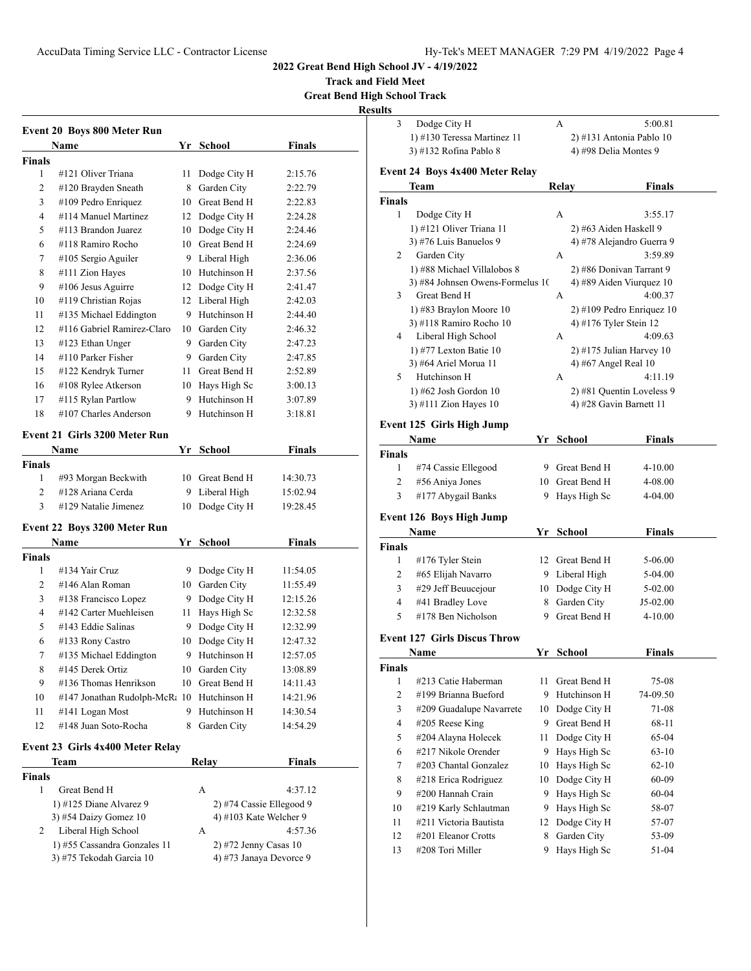**Track and Field Meet**

**Great Bend High School Track**

**Result** 

|                | <b>Event 20 Boys 800 Meter Run</b>             |    |                          |               |  |
|----------------|------------------------------------------------|----|--------------------------|---------------|--|
|                | Name                                           | Yr | <b>School</b>            | Finals        |  |
| <b>Finals</b>  |                                                |    |                          |               |  |
| 1              | #121 Oliver Triana                             | 11 | Dodge City H             | 2:15.76       |  |
| 2              | #120 Brayden Sneath                            | 8  | Garden City              | 2:22.79       |  |
| 3              | #109 Pedro Enriquez                            |    | 10 Great Bend H          | 2:22.83       |  |
| 4              | #114 Manuel Martinez                           | 12 | Dodge City H             | 2:24.28       |  |
| 5              | #113 Brandon Juarez                            |    | 10 Dodge City H          | 2:24.46       |  |
| 6              | #118 Ramiro Rocho                              |    | 10 Great Bend H          | 2:24.69       |  |
| 7              | #105 Sergio Aguiler                            |    | 9 Liberal High           | 2:36.06       |  |
| 8              | #111 Zion Hayes                                |    | 10 Hutchinson H          | 2:37.56       |  |
| 9              | #106 Jesus Aguirre                             |    | 12 Dodge City H          | 2:41.47       |  |
| 10             | #119 Christian Rojas                           |    | 12 Liberal High          | 2:42.03       |  |
| 11             | #135 Michael Eddington                         |    | 9 Hutchinson H           | 2:44.40       |  |
| 12             | #116 Gabriel Ramirez-Claro                     |    | 10 Garden City           | 2:46.32       |  |
| 13             | #123 Ethan Unger                               | 9  | Garden City              | 2:47.23       |  |
| 14             | #110 Parker Fisher                             |    | 9 Garden City            | 2:47.85       |  |
| 15             | #122 Kendryk Turner                            | 11 | Great Bend H             | 2:52.89       |  |
| 16             | #108 Rylee Atkerson                            | 10 | Hays High Sc             | 3:00.13       |  |
| 17             | #115 Rylan Partlow                             | 9. | Hutchinson H             | 3:07.89       |  |
| 18             | #107 Charles Anderson                          | 9. | Hutchinson H             | 3:18.81       |  |
|                | <b>Event 21 Girls 3200 Meter Run</b>           |    |                          |               |  |
|                |                                                |    | Yr School                | Finals        |  |
| <b>Finals</b>  | Name                                           |    |                          |               |  |
| 1              | #93 Morgan Beckwith                            |    | 10 Great Bend H          | 14:30.73      |  |
| $\overline{2}$ | #128 Ariana Cerda                              |    | 9 Liberal High           | 15:02.94      |  |
| 3              | #129 Natalie Jimenez                           | 10 | Dodge City H             | 19:28.45      |  |
|                |                                                |    |                          |               |  |
|                | Event 22 Boys 3200 Meter Run                   |    |                          |               |  |
|                | Name                                           |    | Yr School                | <b>Finals</b> |  |
| <b>Finals</b>  |                                                |    |                          |               |  |
| 1              | #134 Yair Cruz                                 | 9. | Dodge City H             | 11:54.05      |  |
| $\overline{2}$ | #146 Alan Roman                                | 10 | Garden City              | 11:55.49      |  |
| 3              | #138 Francisco Lopez<br>#142 Carter Muehleisen | 9. | Dodge City H             | 12:15.26      |  |
| 4              |                                                | 11 | Hays High Sc             | 12:32.58      |  |
| 5              | #143 Eddie Salinas                             | 9. | Dodge City H             | 12:32.99      |  |
| 6              | #133 Rony Castro                               | 10 | Dodge City H             | 12:47.32      |  |
| 7              | #135 Michael Eddington                         | 9  | Hutchinson H             | 12:57.05      |  |
| 8              | #145 Derek Ortiz                               |    | 10 Garden City           | 13:08.89      |  |
| 9              | #136 Thomas Henrikson                          | 10 | Great Bend H             | 14:11.43      |  |
| 10             | #147 Jonathan Rudolph-McR: 10                  |    | Hutchinson H             | 14:21.96      |  |
| 11             | #141 Logan Most                                | 9. | Hutchinson H             | 14:30.54      |  |
| 12             | #148 Juan Soto-Rocha                           | 8  | Garden City              | 14:54.29      |  |
|                | Event 23 Girls 4x400 Meter Relay               |    |                          |               |  |
|                | Team                                           |    | Relay                    | <b>Finals</b> |  |
| Finals         |                                                |    |                          |               |  |
| 1              | Great Bend H                                   |    | А                        | 4:37.12       |  |
|                | 1) #125 Diane Alvarez 9                        |    | 2) #74 Cassie Ellegood 9 |               |  |
|                | 3) #54 Daizy Gomez 10                          |    | 4) #103 Kate Welcher 9   |               |  |
| 2              | Liberal High School                            |    | А                        | 4:57.36       |  |
|                | 1) #55 Cassandra Gonzales 11                   |    | $2)$ #72 Jenny Casas 10  |               |  |
|                | 3) #75 Tekodah Garcia 10                       |    | 4) #73 Janaya Devorce 9  |               |  |
|                |                                                |    |                          |               |  |

| 3                  | Dodge City H                                   |          | А     |                                                      | 5:00.81            |
|--------------------|------------------------------------------------|----------|-------|------------------------------------------------------|--------------------|
|                    | 1) #130 Teressa Martinez 11                    |          |       | 2) #131 Antonia Pablo 10                             |                    |
|                    | 3) #132 Rofina Pablo 8                         |          |       | 4) #98 Delia Montes 9                                |                    |
|                    | Event 24 Boys 4x400 Meter Relay                |          |       |                                                      |                    |
|                    | Team                                           |          | Relay |                                                      | Finals             |
| Finals             |                                                |          |       |                                                      |                    |
| 1                  | Dodge City H                                   |          | А     |                                                      | 3:55.17            |
|                    | 1) #121 Oliver Triana 11                       |          |       | 2) #63 Aiden Haskell 9                               |                    |
|                    | 3) #76 Luis Banuelos 9                         |          |       | 4) #78 Alejandro Guerra 9                            |                    |
| 2                  | Garden City                                    |          | А     |                                                      | 3:59.89            |
|                    | 1) #88 Michael Villalobos 8                    |          |       | 2) #86 Donivan Tarrant 9                             |                    |
|                    | 3) #84 Johnsen Owens-Formelus 10               |          |       | 4) #89 Aiden Viurquez 10                             |                    |
| 3                  | Great Bend H                                   |          | А     |                                                      | 4:00.37            |
|                    | 1) #83 Braylon Moore 10                        |          |       | $2)$ #109 Pedro Enriquez 10                          |                    |
|                    | 3) #118 Ramiro Rocho 10                        |          |       | 4) #176 Tyler Stein 12                               |                    |
| 4                  | Liberal High School                            |          | А     |                                                      | 4:09.63            |
|                    | 1) #77 Lexton Batie $10$                       |          |       | $2)$ #175 Julian Harvey 10                           |                    |
|                    | 3) #64 Ariel Morua 11                          |          |       | 4) #67 Angel Real 10                                 | 4:11.19            |
| 5                  | Hutchinson H                                   |          | А     |                                                      |                    |
|                    | 1) #62 Josh Gordon 10<br>3) #111 Zion Hayes 10 |          |       | 2) #81 Quentin Loveless 9<br>4) #28 Gavin Barnett 11 |                    |
|                    |                                                |          |       |                                                      |                    |
|                    | Event 125 Girls High Jump                      |          |       |                                                      |                    |
|                    | Name                                           | Yr       |       | School                                               | <b>Finals</b>      |
| Finals             |                                                |          |       |                                                      |                    |
| 1                  | #74 Cassie Ellegood                            |          |       | 9 Great Bend H                                       | 4-10.00            |
| 2                  | #56 Aniya Jones                                |          |       | 10 Great Bend H                                      | 4-08.00            |
| 3                  | #177 Abygail Banks                             | 9        |       | Hays High Sc                                         | 4-04.00            |
|                    | <b>Event 126 Boys High Jump</b>                |          |       |                                                      |                    |
|                    | Name                                           |          |       | Yr School                                            | <b>Finals</b>      |
| <b>Finals</b>      |                                                |          |       |                                                      |                    |
| 1                  | #176 Tyler Stein                               |          |       | 12 Great Bend H                                      | 5-06.00            |
| 2                  | #65 Elijah Navarro                             |          |       |                                                      | 5-04.00            |
|                    |                                                |          |       | 9 Liberal High                                       |                    |
| 3                  | #29 Jeff Beuucejour                            |          |       | 10 Dodge City H                                      | 5-02.00            |
| 4                  | #41 Bradley Love                               | 8        |       | Garden City                                          | J5-02.00           |
| 5                  | #178 Ben Nicholson                             | 9        |       | Great Bend H                                         | $4 - 10.00$        |
|                    |                                                |          |       |                                                      |                    |
|                    | <b>Event 127 Girls Discus Throw</b>            |          |       |                                                      |                    |
|                    | <b>Name</b>                                    |          |       | Yr School                                            | <b>Finals</b>      |
|                    |                                                |          |       |                                                      |                    |
| 1                  | #213 Catie Haberman<br>#199 Brianna Bueford    | 11<br>9  |       | Great Bend H                                         | 75-08              |
| $\overline{c}$     |                                                |          |       | Hutchinson H                                         | 74-09.50           |
| 3                  | #209 Guadalupe Navarrete                       | 10       |       | Dodge City H                                         | 71-08              |
| 4                  | #205 Reese King                                | 9.<br>11 |       | Great Bend H                                         | 68-11              |
| 5<br>6             | #204 Alayna Holecek<br>#217 Nikole Orender     | 9        |       | Dodge City H                                         | 65-04<br>$63 - 10$ |
| 7                  | #203 Chantal Gonzalez                          | 10       |       | Hays High Sc                                         |                    |
|                    |                                                | 10       |       | Hays High Sc                                         | $62 - 10$          |
| 8                  | #218 Erica Rodriguez                           | 9        |       | Dodge City H                                         | 60-09              |
| 9                  | #200 Hannah Crain                              |          |       | Hays High Sc                                         | 60-04              |
| 10                 | #219 Karly Schlautman                          | 9        |       | Hays High Sc                                         | 58-07              |
| Finals<br>11<br>12 | #211 Victoria Bautista<br>#201 Eleanor Crotts  | 12<br>8  |       | Dodge City H                                         | 57-07              |
| 13                 | #208 Tori Miller                               | 9        |       | Garden City<br>Hays High Sc                          | 53-09<br>51-04     |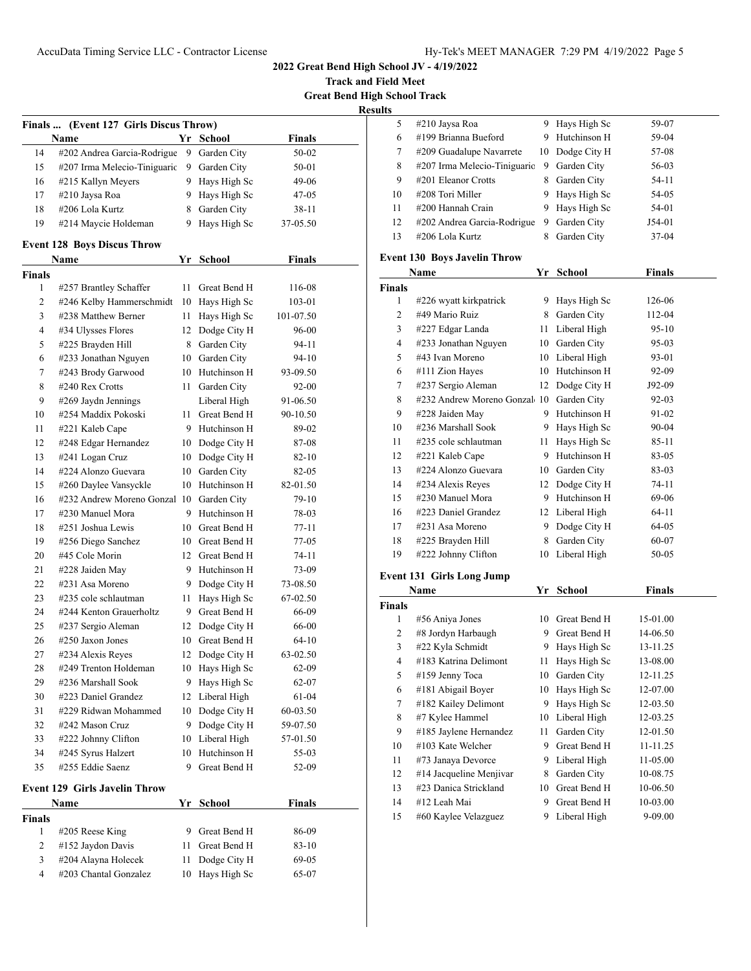**Track and Field Meet Great Bend High School Track**

| r<br>ш<br>۰. |  |
|--------------|--|
|              |  |

| Finals  (Event 127 Girls Discus Throw) |                                            |      |                                 |               |  |  |
|----------------------------------------|--------------------------------------------|------|---------------------------------|---------------|--|--|
|                                        | Name                                       |      | Yr School                       | <b>Finals</b> |  |  |
| 14                                     | #202 Andrea Garcia-Rodrigue                | 9    | Garden City                     | 50-02         |  |  |
| 15                                     | #207 Irma Melecio-Tiniguaric               | 9.   | Garden City                     | 50-01         |  |  |
| 16                                     | #215 Kallyn Meyers                         |      | 9 Hays High Sc                  | 49-06         |  |  |
| 17                                     | #210 Jaysa Roa                             |      | 9 Hays High Sc                  | 47-05         |  |  |
| 18                                     | #206 Lola Kurtz                            | 8    | Garden City                     | 38-11         |  |  |
| 19                                     | #214 Maycie Holdeman                       | 9    | Hays High Sc                    | 37-05.50      |  |  |
|                                        | <b>Event 128 Boys Discus Throw</b>         |      |                                 |               |  |  |
|                                        | Name                                       | Yr   | School                          | <b>Finals</b> |  |  |
| <b>Finals</b>                          |                                            |      |                                 |               |  |  |
| 1                                      | #257 Brantley Schaffer                     | 11   | Great Bend H                    | 116-08        |  |  |
| 2                                      | #246 Kelby Hammerschmidt                   | 10   | Hays High Sc                    | 103-01        |  |  |
| 3                                      | #238 Matthew Berner                        | 11   | Hays High Sc                    | 101-07.50     |  |  |
| 4                                      | #34 Ulysses Flores                         | 12   | Dodge City H                    | 96-00         |  |  |
| 5                                      | #225 Brayden Hill                          | 8    | Garden City                     | 94-11         |  |  |
| 6                                      | #233 Jonathan Nguyen                       |      | 10 Garden City                  | 94-10         |  |  |
| 7                                      | #243 Brody Garwood                         |      | 10 Hutchinson H                 | 93-09.50      |  |  |
| 8                                      | #240 Rex Crotts                            | 11 - |                                 | 92-00         |  |  |
|                                        |                                            |      | Garden City                     | 91-06.50      |  |  |
| 9                                      | #269 Jaydn Jennings<br>#254 Maddix Pokoski |      | Liberal High<br>11 Great Bend H |               |  |  |
| 10                                     |                                            |      |                                 | 90-10.50      |  |  |
| 11                                     | #221 Kaleb Cape                            |      | 9 Hutchinson H                  | 89-02         |  |  |
| 12                                     | #248 Edgar Hernandez                       |      | 10 Dodge City H                 | 87-08         |  |  |
| 13                                     | #241 Logan Cruz                            |      | 10 Dodge City H                 | 82-10         |  |  |
| 14                                     | #224 Alonzo Guevara                        | 10   | Garden City                     | 82-05         |  |  |
| 15                                     | #260 Daylee Vansyckle                      | 10   | Hutchinson H                    | 82-01.50      |  |  |
| 16                                     | #232 Andrew Moreno Gonzal 10               |      | Garden City                     | 79-10         |  |  |
| 17                                     | #230 Manuel Mora                           | 9    | Hutchinson H                    | 78-03         |  |  |
| 18                                     | #251 Joshua Lewis                          |      | 10 Great Bend H                 | 77-11         |  |  |
| 19                                     | #256 Diego Sanchez                         |      | 10 Great Bend H                 | 77-05         |  |  |
| 20                                     | #45 Cole Morin                             |      | 12 Great Bend H                 | 74-11         |  |  |
| 21                                     | #228 Jaiden May                            |      | 9 Hutchinson H                  | 73-09         |  |  |
| 22                                     | #231 Asa Moreno                            | 9.   | Dodge City H                    | 73-08.50      |  |  |
| 23                                     | #235 cole schlautman                       | 11   | Hays High Sc                    | 67-02.50      |  |  |
| 24                                     | #244 Kenton Grauerholtz                    |      | 9 Great Bend H                  | 66-09         |  |  |
| 25                                     | #237 Sergio Aleman                         | 12   | Dodge City H                    | 66-00         |  |  |
| 26                                     | $\#250$ Jaxon Jones                        | 10   | Great Bend H                    | 64-10         |  |  |
| 27                                     | #234 Alexis Reyes                          | 12   | Dodge City H                    | 63-02.50      |  |  |
| 28                                     | #249 Trenton Holdeman                      | 10   | Hays High Sc                    | 62-09         |  |  |
| 29                                     | #236 Marshall Sook                         | 9    | Hays High Sc                    | 62-07         |  |  |
| 30                                     | #223 Daniel Grandez                        | 12   | Liberal High                    | 61-04         |  |  |
| 31                                     | #229 Ridwan Mohammed                       | 10   | Dodge City H                    | 60-03.50      |  |  |
| 32                                     | #242 Mason Cruz                            | 9    | Dodge City H                    | 59-07.50      |  |  |
| 33                                     | #222 Johnny Clifton                        | 10   | Liberal High                    | 57-01.50      |  |  |
| 34                                     | #245 Syrus Halzert                         | 10   | Hutchinson H                    | 55-03         |  |  |
| 35                                     | #255 Eddie Saenz                           | 9    | Great Bend H                    | 52-09         |  |  |
|                                        | <b>Event 129 Girls Javelin Throw</b>       |      |                                 |               |  |  |
|                                        | Name                                       |      | Yr School                       | <b>Finals</b> |  |  |
| <b>Finals</b>                          |                                            |      |                                 |               |  |  |
| 1                                      | #205 Reese King                            | 9    | Great Bend H                    | 86-09         |  |  |
| 2                                      | #152 Jaydon Davis                          | 11   | Great Bend H                    | 83-10         |  |  |
| 3                                      | #204 Alayna Holecek                        | 11   | Dodge City H                    | 69-05         |  |  |
| 4                                      | #203 Chantal Gonzalez                      | 10   | Hays High Sc                    | 65-07         |  |  |
|                                        |                                            |      |                                 |               |  |  |

| J. |                              |    |                 |          |  |
|----|------------------------------|----|-----------------|----------|--|
| 5  | #210 Jaysa Roa               |    | 9 Hays High Sc  | 59-07    |  |
| 6  | #199 Brianna Bueford         |    | 9 Hutchinson H  | 59-04    |  |
| 7  | #209 Guadalupe Navarrete     |    | 10 Dodge City H | 57-08    |  |
| 8  | #207 Irma Melecio-Tiniguaric | 9  | Garden City     | 56-03    |  |
| 9  | #201 Eleanor Crotts          | 8  | Garden City     | 54-11    |  |
| 10 | #208 Tori Miller             | 9  | Hays High Sc    | 54-05    |  |
| 11 | #200 Hannah Crain            | 9. | Hays High Sc    | 54-01    |  |
| 12 | #202 Andrea Garcia-Rodrigue  | 9  | Garden City     | $J54-01$ |  |
| 13 | #206 Lola Kurtz              | 8  | Garden City     | 37-04    |  |

## **Event 130 Boys Javelin Throw**

| Name           |                              |    | Yr School    | <b>Finals</b> |
|----------------|------------------------------|----|--------------|---------------|
| Finals         |                              |    |              |               |
| 1              | #226 wyatt kirkpatrick       | 9  | Hays High Sc | 126-06        |
| $\overline{c}$ | #49 Mario Ruiz               | 8  | Garden City  | 112-04        |
| 3              | #227 Edgar Landa             | 11 | Liberal High | 95-10         |
| $\overline{4}$ | #233 Jonathan Nguyen         | 10 | Garden City  | $95-03$       |
| 5              | #43 Ivan Moreno              | 10 | Liberal High | 93-01         |
| 6              | #111 Zion Hayes              | 10 | Hutchinson H | 92-09         |
| 7              | #237 Sergio Aleman           | 12 | Dodge City H | J92-09        |
| 8              | #232 Andrew Moreno Gonzal 10 |    | Garden City  | 92-03         |
| 9              | #228 Jaiden May              | 9  | Hutchinson H | 91-02         |
| 10             | #236 Marshall Sook           | 9  | Hays High Sc | 90-04         |
| 11             | #235 cole schlautman         | 11 | Hays High Sc | 85-11         |
| 12             | #221 Kaleb Cape              | 9  | Hutchinson H | 83-05         |
| 13             | #224 Alonzo Guevara          | 10 | Garden City  | 83-03         |
| 14             | #234 Alexis Reyes            | 12 | Dodge City H | 74-11         |
| 15             | #230 Manuel Mora             | 9  | Hutchinson H | 69-06         |
| 16             | #223 Daniel Grandez          | 12 | Liberal High | 64-11         |
| 17             | #231 Asa Moreno              | 9  | Dodge City H | 64-05         |
| 18             | #225 Brayden Hill            | 8  | Garden City  | 60-07         |
| 19             | #222 Johnny Clifton          | 10 | Liberal High | 50-05         |

#### **Event 131 Girls Long Jump**

| Name   |                         | Yr | <b>School</b> | Finals   |  |
|--------|-------------------------|----|---------------|----------|--|
| Finals |                         |    |               |          |  |
| 1      | #56 Aniya Jones         | 10 | Great Bend H  | 15-01.00 |  |
| 2      | #8 Jordyn Harbaugh      | 9  | Great Bend H  | 14-06.50 |  |
| 3      | #22 Kyla Schmidt        | 9  | Hays High Sc  | 13-11.25 |  |
| 4      | #183 Katrina Delimont   | 11 | Hays High Sc  | 13-08.00 |  |
| 5      | #159 Jenny Toca         | 10 | Garden City   | 12-11.25 |  |
| 6      | #181 Abigail Boyer      | 10 | Hays High Sc  | 12-07.00 |  |
| 7      | #182 Kailey Delimont    | 9  | Hays High Sc  | 12-03.50 |  |
| 8      | #7 Kylee Hammel         | 10 | Liberal High  | 12-03.25 |  |
| 9      | #185 Jaylene Hernandez  | 11 | Garden City   | 12-01.50 |  |
| 10     | #103 Kate Welcher       | 9  | Great Bend H  | 11-11.25 |  |
| 11     | #73 Janaya Devorce      | 9  | Liberal High  | 11-05.00 |  |
| 12     | #14 Jacqueline Menjivar | 8  | Garden City   | 10-08.75 |  |
| 13     | #23 Danica Strickland   | 10 | Great Bend H  | 10-06.50 |  |
| 14     | #12 Leah Mai            | 9  | Great Bend H  | 10-03.00 |  |
| 15     | #60 Kaylee Velazguez    | 9  | Liberal High  | 9-09.00  |  |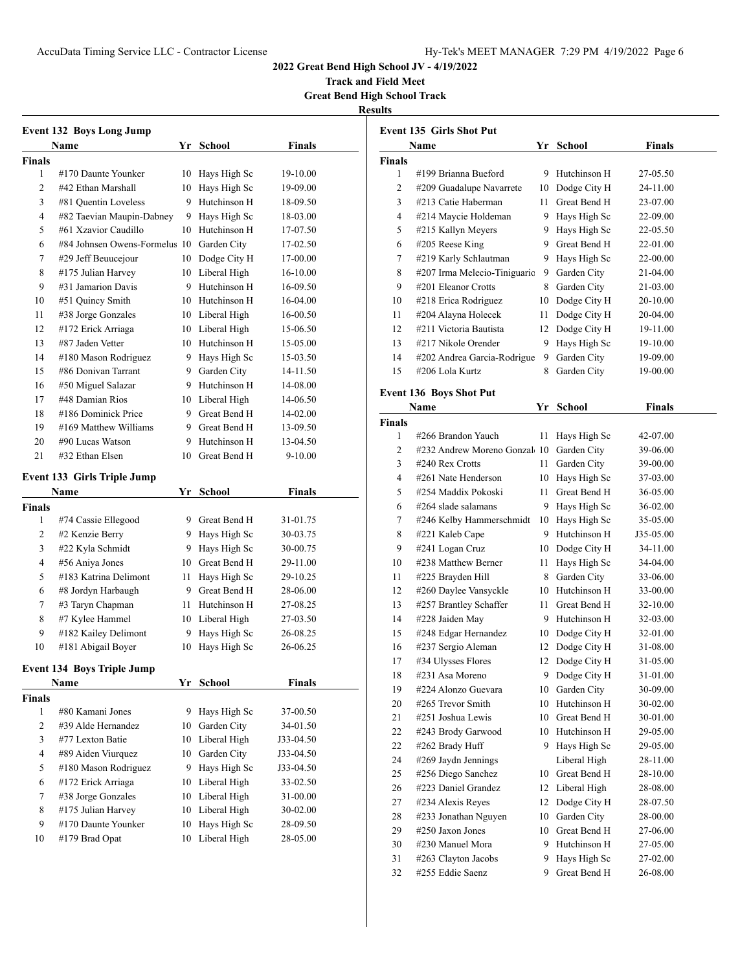**Track and Field Meet Great Bend High School Track**

**Results**

| <b>Event 132 Boys Long Jump</b>   |                                           |    |                 |               |  |  |  |
|-----------------------------------|-------------------------------------------|----|-----------------|---------------|--|--|--|
|                                   | Name                                      |    | Yr School       | <b>Finals</b> |  |  |  |
| Finals                            |                                           |    |                 |               |  |  |  |
| 1                                 | #170 Daunte Younker                       | 10 | Hays High Sc    | 19-10.00      |  |  |  |
| 2                                 | #42 Ethan Marshall                        | 10 | Hays High Sc    | 19-09.00      |  |  |  |
| 3                                 | #81 Quentin Loveless                      | 9  | Hutchinson H    | 18-09.50      |  |  |  |
| 4                                 | #82 Taevian Maupin-Dabney                 | 9. | Hays High Sc    | 18-03.00      |  |  |  |
| 5                                 | #61 Xzavior Caudillo                      | 10 | Hutchinson H    | 17-07.50      |  |  |  |
| 6                                 | #84 Johnsen Owens-Formelus 10 Garden City |    |                 | 17-02.50      |  |  |  |
| 7                                 | #29 Jeff Beuucejour                       | 10 | Dodge City H    | 17-00.00      |  |  |  |
| 8                                 | #175 Julian Harvey                        |    | 10 Liberal High | 16-10.00      |  |  |  |
| 9                                 | #31 Jamarion Davis                        |    | 9 Hutchinson H  | 16-09.50      |  |  |  |
| 10                                | #51 Quincy Smith                          |    | 10 Hutchinson H | 16-04.00      |  |  |  |
| 11                                | #38 Jorge Gonzales                        |    | 10 Liberal High | 16-00.50      |  |  |  |
| 12                                | #172 Erick Arriaga                        |    | 10 Liberal High | 15-06.50      |  |  |  |
| 13                                | #87 Jaden Vetter                          |    | 10 Hutchinson H | 15-05.00      |  |  |  |
| 14                                | #180 Mason Rodriguez                      |    | 9 Hays High Sc  | 15-03.50      |  |  |  |
| 15                                | #86 Donivan Tarrant                       |    | 9 Garden City   | 14-11.50      |  |  |  |
| 16                                | #50 Miguel Salazar                        |    | 9 Hutchinson H  | 14-08.00      |  |  |  |
| 17                                | #48 Damian Rios                           |    | 10 Liberal High | 14-06.50      |  |  |  |
| 18                                | #186 Dominick Price                       |    | 9 Great Bend H  | 14-02.00      |  |  |  |
| 19                                | #169 Matthew Williams                     |    | 9 Great Bend H  | 13-09.50      |  |  |  |
| 20                                | #90 Lucas Watson                          |    | 9 Hutchinson H  | 13-04.50      |  |  |  |
| 21                                | #32 Ethan Elsen                           | 10 | Great Bend H    | 9-10.00       |  |  |  |
|                                   | <b>Event 133 Girls Triple Jump</b>        |    |                 |               |  |  |  |
|                                   | Name                                      |    | Yr School       | <b>Finals</b> |  |  |  |
| Finals                            |                                           |    |                 |               |  |  |  |
| 1                                 | #74 Cassie Ellegood                       |    | 9 Great Bend H  | 31-01.75      |  |  |  |
| 2                                 | #2 Kenzie Berry                           |    | 9 Hays High Sc  | 30-03.75      |  |  |  |
| 3                                 | #22 Kyla Schmidt                          | 9. | Hays High Sc    | 30-00.75      |  |  |  |
| 4                                 | #56 Aniya Jones                           |    | 10 Great Bend H | 29-11.00      |  |  |  |
| 5                                 | #183 Katrina Delimont                     | 11 | Hays High Sc    | 29-10.25      |  |  |  |
| 6                                 | #8 Jordyn Harbaugh                        |    | 9 Great Bend H  | 28-06.00      |  |  |  |
| 7                                 | #3 Taryn Chapman                          |    | 11 Hutchinson H | 27-08.25      |  |  |  |
| 8                                 | #7 Kylee Hammel                           |    | 10 Liberal High | 27-03.50      |  |  |  |
| 9                                 | #182 Kailey Delimont                      | 9  | Hays High Sc    | 26-08.25      |  |  |  |
| 10                                | #181 Abigail Boyer                        | 10 | Hays High Sc    | 26-06.25      |  |  |  |
| <b>Event 134 Boys Triple Jump</b> |                                           |    |                 |               |  |  |  |
|                                   | Name                                      |    | Yr School       | <b>Finals</b> |  |  |  |
| Finals                            |                                           |    |                 |               |  |  |  |
| 1                                 | #80 Kamani Jones                          | 9  | Hays High Sc    | 37-00.50      |  |  |  |
| 2                                 | #39 Alde Hernandez                        | 10 | Garden City     | 34-01.50      |  |  |  |
| 3                                 | #77 Lexton Batie                          | 10 | Liberal High    | J33-04.50     |  |  |  |
| 4                                 | #89 Aiden Viurquez                        | 10 | Garden City     | J33-04.50     |  |  |  |
| 5                                 | #180 Mason Rodriguez                      | 9  | Hays High Sc    | J33-04.50     |  |  |  |
| 6                                 | #172 Erick Arriaga                        | 10 | Liberal High    | 33-02.50      |  |  |  |
| 7                                 | #38 Jorge Gonzales                        | 10 | Liberal High    | 31-00.00      |  |  |  |
| 8                                 | #175 Julian Harvey                        | 10 | Liberal High    | 30-02.00      |  |  |  |
| 9                                 | #170 Daunte Younker                       | 10 | Hays High Sc    | 28-09.50      |  |  |  |
| 10                                | #179 Brad Opat                            | 10 | Liberal High    | 28-05.00      |  |  |  |
|                                   |                                           |    |                 |               |  |  |  |

| Event 135 Girls Shot Put                              |               |  |  |  |  |
|-------------------------------------------------------|---------------|--|--|--|--|
| <b>School</b><br>Name<br>Yr                           | <b>Finals</b> |  |  |  |  |
| <b>Finals</b>                                         |               |  |  |  |  |
| #199 Brianna Bueford<br>Hutchinson H<br>1<br>9.       | 27-05.50      |  |  |  |  |
| 2<br>#209 Guadalupe Navarrete<br>10 Dodge City H      | 24-11.00      |  |  |  |  |
| Great Bend H<br>3<br>#213 Catie Haberman<br>11 -      | 23-07.00      |  |  |  |  |
| 4<br>#214 Maycie Holdeman<br>9 Hays High Sc           | 22-09.00      |  |  |  |  |
| 5<br>#215 Kallyn Meyers<br>9 Hays High Sc             | 22-05.50      |  |  |  |  |
| 6<br>$#205$ Reese King<br>9 Great Bend H              | 22-01.00      |  |  |  |  |
| #219 Karly Schlautman<br>9.<br>Hays High Sc<br>7      | 22-00.00      |  |  |  |  |
| 8<br>#207 Irma Melecio-Tiniguaric<br>9<br>Garden City | 21-04.00      |  |  |  |  |
| 9<br>#201 Eleanor Crotts<br>Garden City<br>8          | 21-03.00      |  |  |  |  |
| #218 Erica Rodriguez<br>Dodge City H<br>10<br>10      | 20-10.00      |  |  |  |  |
| 11<br>#204 Alayna Holecek<br>Dodge City H<br>11 -     | 20-04.00      |  |  |  |  |
| #211 Victoria Bautista<br>12<br>12<br>Dodge City H    | 19-11.00      |  |  |  |  |
| 13<br>#217 Nikole Orender<br>Hays High Sc<br>9.       | 19-10.00      |  |  |  |  |
| 14<br>#202 Andrea Garcia-Rodrigue<br>9<br>Garden City | 19-09.00      |  |  |  |  |
| 15<br>#206 Lola Kurtz<br>8<br>Garden City             | 19-00.00      |  |  |  |  |
|                                                       |               |  |  |  |  |
| <b>Event 136 Boys Shot Put</b>                        |               |  |  |  |  |
| Name<br><b>School</b><br>Yr                           | Finals        |  |  |  |  |
| <b>Finals</b>                                         |               |  |  |  |  |
| 1<br>#266 Brandon Yauch<br>11.<br>Hays High Sc        | 42-07.00      |  |  |  |  |
| #232 Andrew Moreno Gonzal 10<br>Garden City<br>2      | 39-06.00      |  |  |  |  |
| 3<br>#240 Rex Crotts<br>Garden City<br>11 -           | 39-00.00      |  |  |  |  |
| 4<br>#261 Nate Henderson<br>Hays High Sc<br>10        | 37-03.00      |  |  |  |  |
| #254 Maddix Pokoski<br>Great Bend H<br>11<br>5        | 36-05.00      |  |  |  |  |
| 6<br>$\#264$ slade salamans<br>9.<br>Hays High Sc     | 36-02.00      |  |  |  |  |
| #246 Kelby Hammerschmidt<br>Hays High Sc<br>7<br>10   | 35-05.00      |  |  |  |  |
| 9 Hutchinson H<br>#221 Kaleb Cape<br>8                | J35-05.00     |  |  |  |  |
| 9<br>#241 Logan Cruz<br>10 Dodge City H               | 34-11.00      |  |  |  |  |
| 10<br>#238 Matthew Berner<br>Hays High Sc<br>11       | 34-04.00      |  |  |  |  |
| #225 Brayden Hill<br>8 Garden City<br>11              | 33-06.00      |  |  |  |  |
| #260 Daylee Vansyckle<br>10 Hutchinson H<br>12        | 33-00.00      |  |  |  |  |
| #257 Brantley Schaffer<br>11 Great Bend H<br>13       | 32-10.00      |  |  |  |  |
| #228 Jaiden May<br>9 Hutchinson H<br>14               | 32-03.00      |  |  |  |  |
| #248 Edgar Hernandez<br>15<br>10<br>Dodge City H      | 32-01.00      |  |  |  |  |
| #237 Sergio Aleman<br>Dodge City H<br>16<br>12        | 31-08.00      |  |  |  |  |
| #34 Ulysses Flores<br>Dodge City H<br>17<br>12        | 31-05.00      |  |  |  |  |
| 18<br>#231 Asa Moreno<br>9<br>Dodge City H            | 31-01.00      |  |  |  |  |
| 19<br>#224 Alonzo Guevara<br>Garden City<br>10        | 30-09.00      |  |  |  |  |
| Hutchinson H<br>20<br>#265 Trevor Smith<br>10         | 30-02.00      |  |  |  |  |
| 21<br>#251 Joshua Lewis<br>Great Bend H<br>10         | 30-01.00      |  |  |  |  |
| Hutchinson H<br>22<br>#243 Brody Garwood<br>10        | 29-05.00      |  |  |  |  |
| Hays High Sc<br>22<br>#262 Brady Huff<br>9            | 29-05.00      |  |  |  |  |
| Liberal High<br>24<br>#269 Jaydn Jennings             | 28-11.00      |  |  |  |  |
| 25<br>#256 Diego Sanchez<br>Great Bend H<br>10        | 28-10.00      |  |  |  |  |
| #223 Daniel Grandez<br>26<br>Liberal High<br>12       | 28-08.00      |  |  |  |  |
| Dodge City H<br>27<br>#234 Alexis Reyes<br>12         | 28-07.50      |  |  |  |  |
| 28<br>#233 Jonathan Nguyen<br>Garden City<br>10       | 28-00.00      |  |  |  |  |
| #250 Jaxon Jones<br>Great Bend H<br>29<br>10          | 27-06.00      |  |  |  |  |
| 30<br>#230 Manuel Mora<br>9<br>Hutchinson H           | 27-05.00      |  |  |  |  |
| 31<br>#263 Clayton Jacobs<br>Hays High Sc<br>9        | 27-02.00      |  |  |  |  |
| #255 Eddie Saenz<br>Great Bend H<br>32<br>9           | 26-08.00      |  |  |  |  |